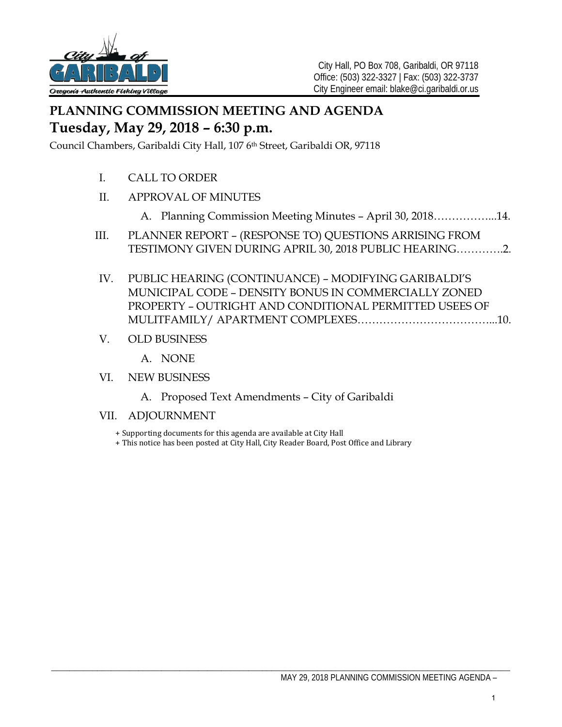

# **PLANNING COMMISSION MEETING AND AGENDA Tuesday, May 29, 2018 – 6:30 p.m.**

Council Chambers, Garibaldi City Hall, 107 6th Street, Garibaldi OR, 97118

- I. CALL TO ORDER
- II. APPROVAL OF MINUTES
	- A. Planning Commission Meeting Minutes April 30, 2018……………...14.
- III. PLANNER REPORT (RESPONSE TO) QUESTIONS ARRISING FROM TESTIMONY GIVEN DURING APRIL 30, 2018 PUBLIC HEARING………….2.
- IV. PUBLIC HEARING (CONTINUANCE) MODIFYING GARIBALDI'S MUNICIPAL CODE – DENSITY BONUS IN COMMERCIALLY ZONED PROPERTY – OUTRIGHT AND CONDITIONAL PERMITTED USEES OF MULITFAMILY/ APARTMENT COMPLEXES………………………………...10.
- V. OLD BUSINESS
	- A. NONE
- VI. NEW BUSINESS
	- A. Proposed Text Amendments City of Garibaldi
- VII. ADJOURNMENT
	- + Supporting documents for this agenda are available at City Hall
	- + This notice has been posted at City Hall, City Reader Board, Post Office and Library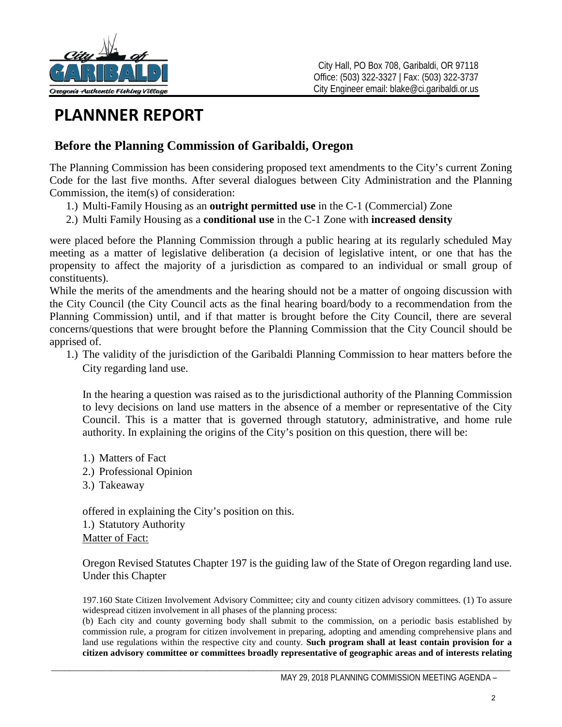

# **PLANNNER REPORT**

# **Before the Planning Commission of Garibaldi, Oregon**

The Planning Commission has been considering proposed text amendments to the City's current Zoning Code for the last five months. After several dialogues between City Administration and the Planning Commission, the item(s) of consideration:

- 1.) Multi-Family Housing as an **outright permitted use** in the C-1 (Commercial) Zone
- 2.) Multi Family Housing as a **conditional use** in the C-1 Zone with **increased density**

were placed before the Planning Commission through a public hearing at its regularly scheduled May meeting as a matter of legislative deliberation (a decision of legislative intent, or one that has the propensity to affect the majority of a jurisdiction as compared to an individual or small group of constituents).

While the merits of the amendments and the hearing should not be a matter of ongoing discussion with the City Council (the City Council acts as the final hearing board/body to a recommendation from the Planning Commission) until, and if that matter is brought before the City Council, there are several concerns/questions that were brought before the Planning Commission that the City Council should be apprised of.

1.) The validity of the jurisdiction of the Garibaldi Planning Commission to hear matters before the City regarding land use.

In the hearing a question was raised as to the jurisdictional authority of the Planning Commission to levy decisions on land use matters in the absence of a member or representative of the City Council. This is a matter that is governed through statutory, administrative, and home rule authority. In explaining the origins of the City's position on this question, there will be:

- 1.) Matters of Fact
- 2.) Professional Opinion
- 3.) Takeaway

offered in explaining the City's position on this. 1.) Statutory Authority Matter of Fact:

Oregon Revised Statutes Chapter 197 is the guiding law of the State of Oregon regarding land use. Under this Chapter

197.160 State Citizen Involvement Advisory Committee; city and county citizen advisory committees. (1) To assure widespread citizen involvement in all phases of the planning process:

(b) Each city and county governing body shall submit to the commission, on a periodic basis established by commission rule, a program for citizen involvement in preparing, adopting and amending comprehensive plans and land use regulations within the respective city and county. **Such program shall at least contain provision for a citizen advisory committee or committees broadly representative of geographic areas and of interests relating**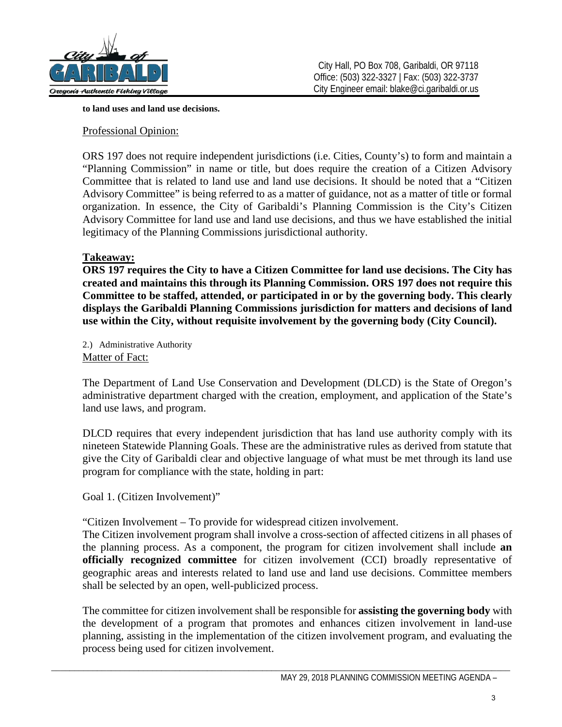

**to land uses and land use decisions.**

# Professional Opinion:

ORS 197 does not require independent jurisdictions (i.e. Cities, County's) to form and maintain a "Planning Commission" in name or title, but does require the creation of a Citizen Advisory Committee that is related to land use and land use decisions. It should be noted that a "Citizen Advisory Committee" is being referred to as a matter of guidance, not as a matter of title or formal organization. In essence, the City of Garibaldi's Planning Commission is the City's Citizen Advisory Committee for land use and land use decisions, and thus we have established the initial legitimacy of the Planning Commissions jurisdictional authority.

# **Takeaway:**

**ORS 197 requires the City to have a Citizen Committee for land use decisions. The City has created and maintains this through its Planning Commission. ORS 197 does not require this Committee to be staffed, attended, or participated in or by the governing body. This clearly displays the Garibaldi Planning Commissions jurisdiction for matters and decisions of land use within the City, without requisite involvement by the governing body (City Council).** 

2.) Administrative Authority Matter of Fact:

The Department of Land Use Conservation and Development (DLCD) is the State of Oregon's administrative department charged with the creation, employment, and application of the State's land use laws, and program.

DLCD requires that every independent jurisdiction that has land use authority comply with its nineteen Statewide Planning Goals. These are the administrative rules as derived from statute that give the City of Garibaldi clear and objective language of what must be met through its land use program for compliance with the state, holding in part:

Goal 1. (Citizen Involvement)"

"Citizen Involvement – To provide for widespread citizen involvement.

The Citizen involvement program shall involve a cross-section of affected citizens in all phases of the planning process. As a component, the program for citizen involvement shall include **an officially recognized committee** for citizen involvement (CCI) broadly representative of geographic areas and interests related to land use and land use decisions. Committee members shall be selected by an open, well-publicized process.

The committee for citizen involvement shall be responsible for **assisting the governing body** with the development of a program that promotes and enhances citizen involvement in land-use planning, assisting in the implementation of the citizen involvement program, and evaluating the process being used for citizen involvement.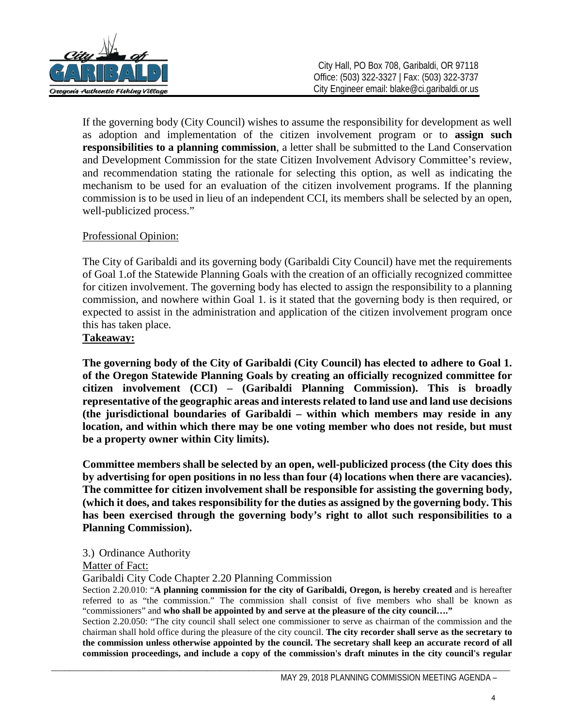

If the governing body (City Council) wishes to assume the responsibility for development as well as adoption and implementation of the citizen involvement program or to **assign such responsibilities to a planning commission**, a letter shall be submitted to the Land Conservation and Development Commission for the state Citizen Involvement Advisory Committee's review, and recommendation stating the rationale for selecting this option, as well as indicating the mechanism to be used for an evaluation of the citizen involvement programs. If the planning commission is to be used in lieu of an independent CCI, its members shall be selected by an open, well-publicized process."

# Professional Opinion:

The City of Garibaldi and its governing body (Garibaldi City Council) have met the requirements of Goal 1.of the Statewide Planning Goals with the creation of an officially recognized committee for citizen involvement. The governing body has elected to assign the responsibility to a planning commission, and nowhere within Goal 1. is it stated that the governing body is then required, or expected to assist in the administration and application of the citizen involvement program once this has taken place.

# **Takeaway:**

**The governing body of the City of Garibaldi (City Council) has elected to adhere to Goal 1. of the Oregon Statewide Planning Goals by creating an officially recognized committee for citizen involvement (CCI) – (Garibaldi Planning Commission). This is broadly representative of the geographic areas and interests related to land use and land use decisions (the jurisdictional boundaries of Garibaldi – within which members may reside in any location, and within which there may be one voting member who does not reside, but must be a property owner within City limits).** 

**Committee members shall be selected by an open, well-publicized process (the City does this by advertising for open positions in no less than four (4) locations when there are vacancies). The committee for citizen involvement shall be responsible for assisting the governing body, (which it does, and takes responsibility for the duties as assigned by the governing body. This has been exercised through the governing body's right to allot such responsibilities to a Planning Commission).** 

# 3.) Ordinance Authority

# Matter of Fact:

Garibaldi City Code Chapter 2.20 Planning Commission

Section 2.20.010: "**A planning commission for the city of Garibaldi, Oregon, is hereby created** and is hereafter referred to as "the commission." The commission shall consist of five members who shall be known as "commissioners" and **who shall be appointed by and serve at the pleasure of the city council…."**

Section 2.20.050: "The city council shall select one commissioner to serve as chairman of the commission and the chairman shall hold office during the pleasure of the city council. **The city recorder shall serve as the secretary to the commission unless otherwise appointed by the council. The secretary shall keep an accurate record of all commission proceedings, and include a copy of the commission's draft minutes in the city council's regular**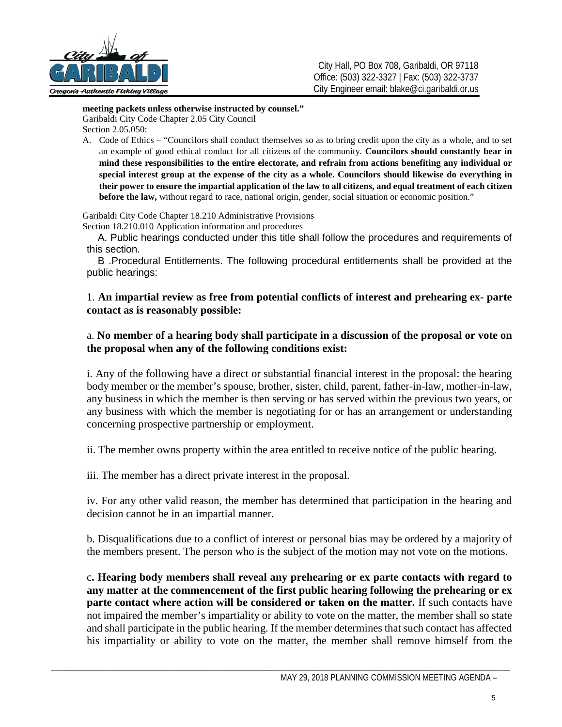

**meeting packets unless otherwise instructed by counsel."**  Garibaldi City Code Chapter 2.05 City Council Section 2.05.050:

A. Code of Ethics – "Councilors shall conduct themselves so as to bring credit upon the city as a whole, and to set an example of good ethical conduct for all citizens of the community. **Councilors should constantly bear in mind these responsibilities to the entire electorate, and refrain from actions benefiting any individual or special interest group at the expense of the city as a whole. Councilors should likewise do everything in their power to ensure the impartial application of the law to all citizens, and equal treatment of each citizen before the law,** without regard to race, national origin, gender, social situation or economic position."

Garibaldi City Code Chapter 18.210 Administrative Provisions Section 18.210.010 Application information and procedures

A. Public hearings conducted under this title shall follow the procedures and requirements of this section.

B .Procedural Entitlements. The following procedural entitlements shall be provided at the public hearings:

# 1. **An impartial review as free from potential conflicts of interest and prehearing ex- parte contact as is reasonably possible:**

# a. **No member of a hearing body shall participate in a discussion of the proposal or vote on the proposal when any of the following conditions exist:**

i. Any of the following have a direct or substantial financial interest in the proposal: the hearing body member or the member's spouse, brother, sister, child, parent, father-in-law, mother-in-law, any business in which the member is then serving or has served within the previous two years, or any business with which the member is negotiating for or has an arrangement or understanding concerning prospective partnership or employment.

ii. The member owns property within the area entitled to receive notice of the public hearing.

iii. The member has a direct private interest in the proposal.

iv. For any other valid reason, the member has determined that participation in the hearing and decision cannot be in an impartial manner.

b. Disqualifications due to a conflict of interest or personal bias may be ordered by a majority of the members present. The person who is the subject of the motion may not vote on the motions.

c**. Hearing body members shall reveal any prehearing or ex parte contacts with regard to any matter at the commencement of the first public hearing following the prehearing or ex parte contact where action will be considered or taken on the matter.** If such contacts have not impaired the member's impartiality or ability to vote on the matter, the member shall so state and shall participate in the public hearing. If the member determines that such contact has affected his impartiality or ability to vote on the matter, the member shall remove himself from the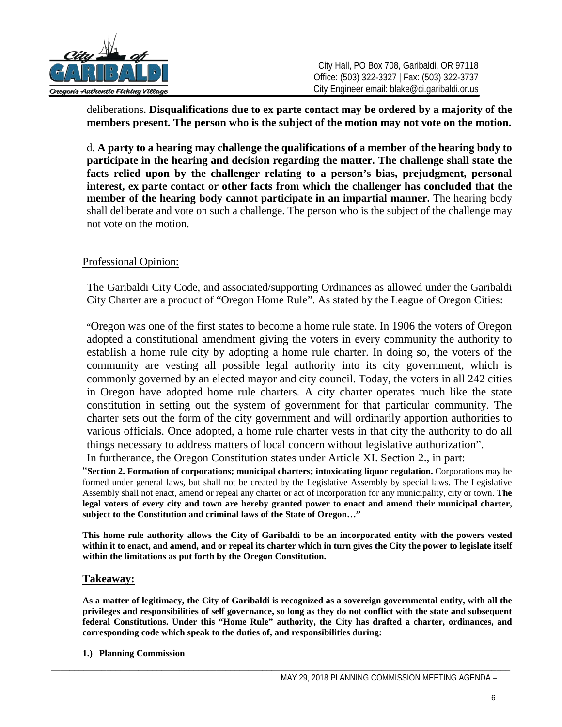

deliberations. **Disqualifications due to ex parte contact may be ordered by a majority of the members present. The person who is the subject of the motion may not vote on the motion.**

d. **A party to a hearing may challenge the qualifications of a member of the hearing body to participate in the hearing and decision regarding the matter. The challenge shall state the facts relied upon by the challenger relating to a person's bias, prejudgment, personal interest, ex parte contact or other facts from which the challenger has concluded that the member of the hearing body cannot participate in an impartial manner.** The hearing body shall deliberate and vote on such a challenge. The person who is the subject of the challenge may not vote on the motion.

# Professional Opinion:

The Garibaldi City Code, and associated/supporting Ordinances as allowed under the Garibaldi City Charter are a product of "Oregon Home Rule". As stated by the League of Oregon Cities:

"Oregon was one of the first states to become a home rule state. In 1906 the voters of Oregon adopted a constitutional amendment giving the voters in every community the authority to establish a home rule city by adopting a home rule charter. In doing so, the voters of the community are vesting all possible legal authority into its city government, which is commonly governed by an elected mayor and city council. Today, the voters in all 242 cities in Oregon have adopted home rule charters. A city charter operates much like the state constitution in setting out the system of government for that particular community. The charter sets out the form of the city government and will ordinarily apportion authorities to various officials. Once adopted, a home rule charter vests in that city the authority to do all things necessary to address matters of local concern without legislative authorization".

In furtherance, the Oregon Constitution states under Article XI. Section 2., in part:

"**Section 2. Formation of corporations; municipal charters; intoxicating liquor regulation.** Corporations may be formed under general laws, but shall not be created by the Legislative Assembly by special laws. The Legislative Assembly shall not enact, amend or repeal any charter or act of incorporation for any municipality, city or town. **The legal voters of every city and town are hereby granted power to enact and amend their municipal charter, subject to the Constitution and criminal laws of the State of Oregon…"**

**This home rule authority allows the City of Garibaldi to be an incorporated entity with the powers vested within it to enact, and amend, and or repeal its charter which in turn gives the City the power to legislate itself within the limitations as put forth by the Oregon Constitution.**

## **Takeaway:**

**As a matter of legitimacy, the City of Garibaldi is recognized as a sovereign governmental entity, with all the privileges and responsibilities of self governance, so long as they do not conflict with the state and subsequent federal Constitutions. Under this "Home Rule" authority, the City has drafted a charter, ordinances, and corresponding code which speak to the duties of, and responsibilities during:**

**1.) Planning Commission**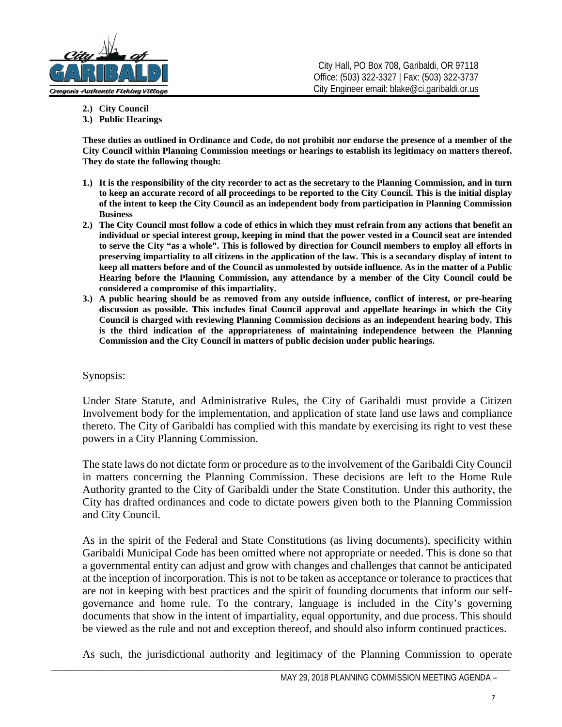

- **2.) City Council**
- **3.) Public Hearings**

**These duties as outlined in Ordinance and Code, do not prohibit nor endorse the presence of a member of the City Council within Planning Commission meetings or hearings to establish its legitimacy on matters thereof. They do state the following though:**

- **1.) It is the responsibility of the city recorder to act as the secretary to the Planning Commission, and in turn to keep an accurate record of all proceedings to be reported to the City Council. This is the initial display of the intent to keep the City Council as an independent body from participation in Planning Commission Business**
- **2.) The City Council must follow a code of ethics in which they must refrain from any actions that benefit an individual or special interest group, keeping in mind that the power vested in a Council seat are intended to serve the City "as a whole". This is followed by direction for Council members to employ all efforts in preserving impartiality to all citizens in the application of the law. This is a secondary display of intent to keep all matters before and of the Council as unmolested by outside influence. As in the matter of a Public Hearing before the Planning Commission, any attendance by a member of the City Council could be considered a compromise of this impartiality.**
- **3.) A public hearing should be as removed from any outside influence, conflict of interest, or pre-hearing discussion as possible. This includes final Council approval and appellate hearings in which the City Council is charged with reviewing Planning Commission decisions as an independent hearing body. This is the third indication of the appropriateness of maintaining independence between the Planning Commission and the City Council in matters of public decision under public hearings.**

## Synopsis:

Under State Statute, and Administrative Rules, the City of Garibaldi must provide a Citizen Involvement body for the implementation, and application of state land use laws and compliance thereto. The City of Garibaldi has complied with this mandate by exercising its right to vest these powers in a City Planning Commission.

The state laws do not dictate form or procedure as to the involvement of the Garibaldi City Council in matters concerning the Planning Commission. These decisions are left to the Home Rule Authority granted to the City of Garibaldi under the State Constitution. Under this authority, the City has drafted ordinances and code to dictate powers given both to the Planning Commission and City Council.

As in the spirit of the Federal and State Constitutions (as living documents), specificity within Garibaldi Municipal Code has been omitted where not appropriate or needed. This is done so that a governmental entity can adjust and grow with changes and challenges that cannot be anticipated at the inception of incorporation. This is not to be taken as acceptance or tolerance to practices that are not in keeping with best practices and the spirit of founding documents that inform our selfgovernance and home rule. To the contrary, language is included in the City's governing documents that show in the intent of impartiality, equal opportunity, and due process. This should be viewed as the rule and not and exception thereof, and should also inform continued practices.

As such, the jurisdictional authority and legitimacy of the Planning Commission to operate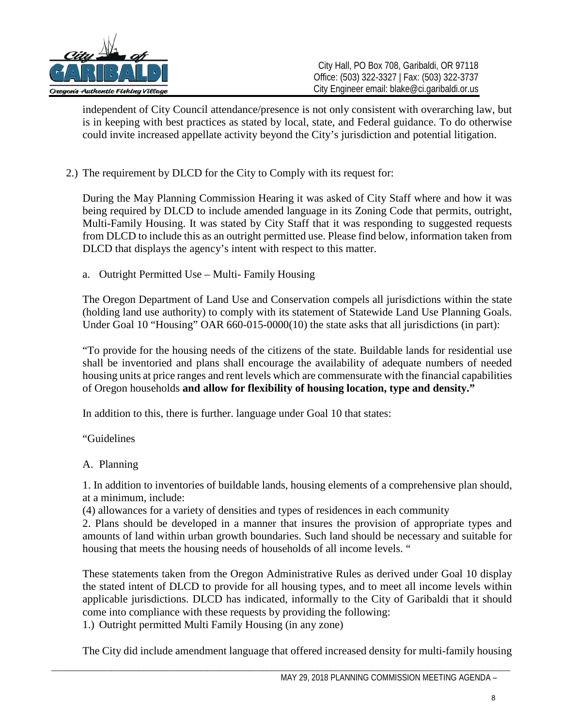

independent of City Council attendance/presence is not only consistent with overarching law, but is in keeping with best practices as stated by local, state, and Federal guidance. To do otherwise could invite increased appellate activity beyond the City's jurisdiction and potential litigation.

2.) The requirement by DLCD for the City to Comply with its request for:

During the May Planning Commission Hearing it was asked of City Staff where and how it was being required by DLCD to include amended language in its Zoning Code that permits, outright, Multi-Family Housing. It was stated by City Staff that it was responding to suggested requests from DLCD to include this as an outright permitted use. Please find below, information taken from DLCD that displays the agency's intent with respect to this matter.

a. Outright Permitted Use – Multi- Family Housing

The Oregon Department of Land Use and Conservation compels all jurisdictions within the state (holding land use authority) to comply with its statement of Statewide Land Use Planning Goals. Under Goal 10 "Housing" OAR 660-015-0000(10) the state asks that all jurisdictions (in part):

"To provide for the housing needs of the citizens of the state. Buildable lands for residential use shall be inventoried and plans shall encourage the availability of adequate numbers of needed housing units at price ranges and rent levels which are commensurate with the financial capabilities of Oregon households **and allow for flexibility of housing location, type and density."** 

In addition to this, there is further. language under Goal 10 that states:

"Guidelines

# A. Planning

1. In addition to inventories of buildable lands, housing elements of a comprehensive plan should, at a minimum, include:

(4) allowances for a variety of densities and types of residences in each community

2. Plans should be developed in a manner that insures the provision of appropriate types and amounts of land within urban growth boundaries. Such land should be necessary and suitable for housing that meets the housing needs of households of all income levels. "

These statements taken from the Oregon Administrative Rules as derived under Goal 10 display the stated intent of DLCD to provide for all housing types, and to meet all income levels within applicable jurisdictions. DLCD has indicated, informally to the City of Garibaldi that it should come into compliance with these requests by providing the following:

1.) Outright permitted Multi Family Housing (in any zone)

The City did include amendment language that offered increased density for multi-family housing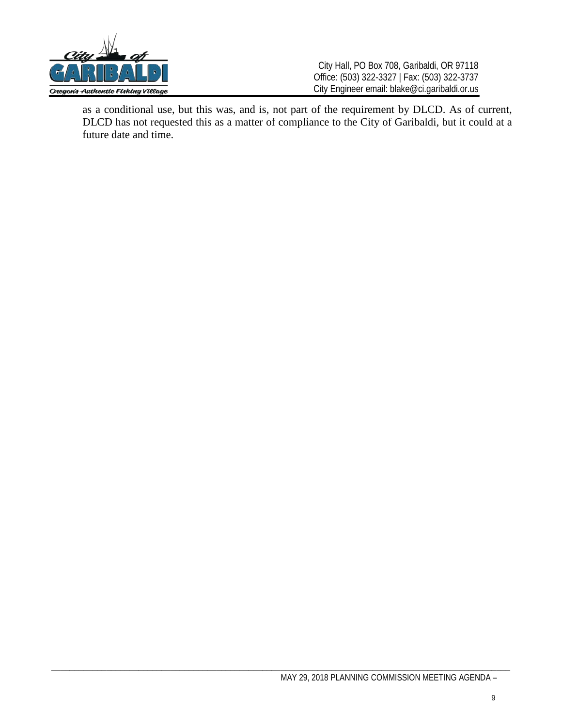

as a conditional use, but this was, and is, not part of the requirement by DLCD. As of current, DLCD has not requested this as a matter of compliance to the City of Garibaldi, but it could at a future date and time.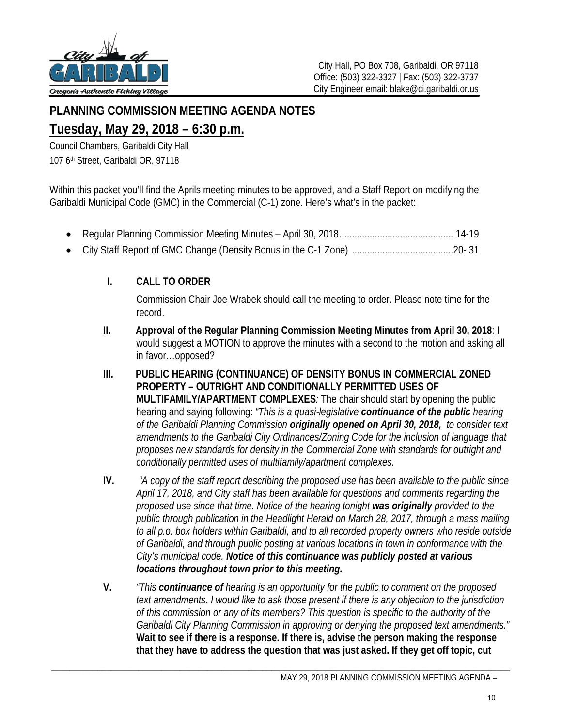

# **PLANNING COMMISSION MEETING AGENDA NOTES Tuesday, May 29, 2018 – 6:30 p.m.**

Council Chambers, Garibaldi City Hall 107 6<sup>th</sup> Street, Garibaldi OR, 97118

Within this packet you'll find the Aprils meeting minutes to be approved, and a Staff Report on modifying the Garibaldi Municipal Code (GMC) in the Commercial (C-1) zone. Here's what's in the packet:

- Regular Planning Commission Meeting Minutes April 30, 2018 ............................................. 14-19
- City Staff Report of GMC Change (Density Bonus in the C-1 Zone) ........................................20- 31

# **I. CALL TO ORDER**

Commission Chair Joe Wrabek should call the meeting to order. Please note time for the record.

- **II. Approval of the Regular Planning Commission Meeting Minutes from April 30, 2018**: I would suggest a MOTION to approve the minutes with a second to the motion and asking all in favor…opposed?
- **III. PUBLIC HEARING (CONTINUANCE) OF DENSITY BONUS IN COMMERCIAL ZONED PROPERTY – OUTRIGHT AND CONDITIONALLY PERMITTED USES OF MULTIFAMILY/APARTMENT COMPLEXES***:* The chair should start by opening the public hearing and saying following: *"This is a quasi-legislative continuance of the public hearing of the Garibaldi Planning Commission originally opened on April 30, 2018, to consider text amendments to the Garibaldi City Ordinances/Zoning Code for the inclusion of language that proposes new standards for density in the Commercial Zone with standards for outright and conditionally permitted uses of multifamily/apartment complexes.*
- **IV.** *"A copy of the staff report describing the proposed use has been available to the public since April 17, 2018, and City staff has been available for questions and comments regarding the proposed use since that time. Notice of the hearing tonight was originally provided to the public through publication in the Headlight Herald on March 28, 2017, through a mass mailing to all p.o. box holders within Garibaldi, and to all recorded property owners who reside outside of Garibaldi, and through public posting at various locations in town in conformance with the City's municipal code. Notice of this continuance was publicly posted at various locations throughout town prior to this meeting.*
- **V.** *"This continuance of hearing is an opportunity for the public to comment on the proposed text amendments. I would like to ask those present if there is any objection to the jurisdiction of this commission or any of its members? This question is specific to the authority of the Garibaldi City Planning Commission in approving or denying the proposed text amendments."* **Wait to see if there is a response. If there is, advise the person making the response that they have to address the question that was just asked. If they get off topic, cut**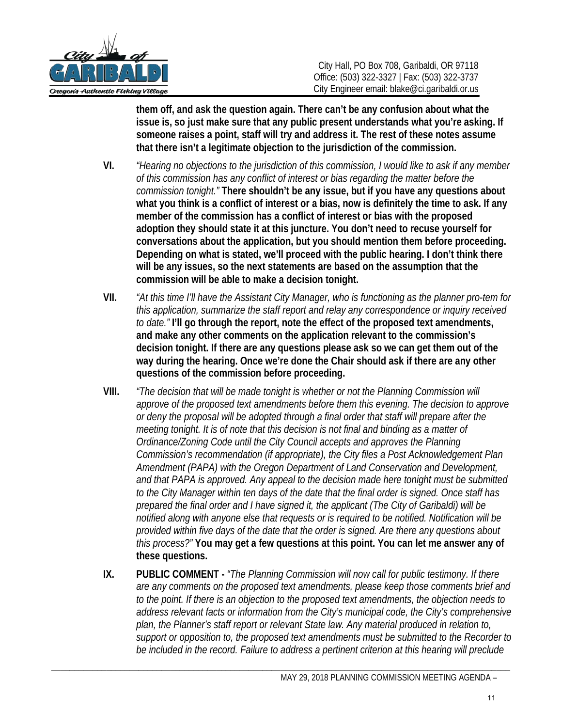

**them off, and ask the question again. There can't be any confusion about what the issue is, so just make sure that any public present understands what you're asking. If someone raises a point, staff will try and address it. The rest of these notes assume that there isn't a legitimate objection to the jurisdiction of the commission.**

- **VI.** *"Hearing no objections to the jurisdiction of this commission, I would like to ask if any member of this commission has any conflict of interest or bias regarding the matter before the commission tonight."* **There shouldn't be any issue, but if you have any questions about what you think is a conflict of interest or a bias, now is definitely the time to ask. If any member of the commission has a conflict of interest or bias with the proposed adoption they should state it at this juncture. You don't need to recuse yourself for conversations about the application, but you should mention them before proceeding. Depending on what is stated, we'll proceed with the public hearing. I don't think there will be any issues, so the next statements are based on the assumption that the commission will be able to make a decision tonight.**
- **VII.** *"At this time I'll have the Assistant City Manager, who is functioning as the planner pro-tem for this application, summarize the staff report and relay any correspondence or inquiry received to date."* **I'll go through the report, note the effect of the proposed text amendments, and make any other comments on the application relevant to the commission's decision tonight. If there are any questions please ask so we can get them out of the way during the hearing. Once we're done the Chair should ask if there are any other questions of the commission before proceeding.**
- **VIII.** *"The decision that will be made tonight is whether or not the Planning Commission will approve of the proposed text amendments before them this evening. The decision to approve or deny the proposal will be adopted through a final order that staff will prepare after the meeting tonight. It is of note that this decision is not final and binding as a matter of Ordinance/Zoning Code until the City Council accepts and approves the Planning Commission's recommendation (if appropriate), the City files a Post Acknowledgement Plan Amendment (PAPA) with the Oregon Department of Land Conservation and Development, and that PAPA is approved. Any appeal to the decision made here tonight must be submitted to the City Manager within ten days of the date that the final order is signed. Once staff has prepared the final order and I have signed it, the applicant (The City of Garibaldi) will be notified along with anyone else that requests or is required to be notified. Notification will be provided within five days of the date that the order is signed. Are there any questions about this process?"* **You may get a few questions at this point. You can let me answer any of these questions.**
- **IX. PUBLIC COMMENT -** *"The Planning Commission will now call for public testimony. If there are any comments on the proposed text amendments, please keep those comments brief and to the point. If there is an objection to the proposed text amendments, the objection needs to address relevant facts or information from the City's municipal code, the City's comprehensive plan, the Planner's staff report or relevant State law. Any material produced in relation to, support or opposition to, the proposed text amendments must be submitted to the Recorder to be included in the record. Failure to address a pertinent criterion at this hearing will preclude*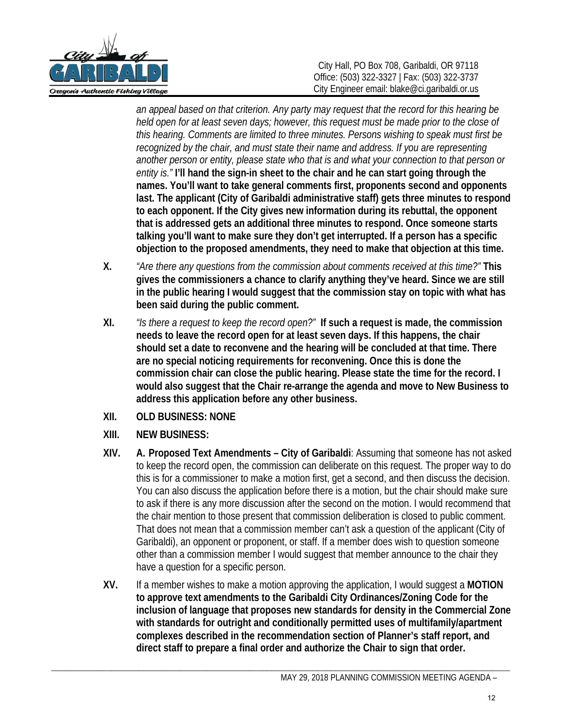

*an appeal based on that criterion. Any party may request that the record for this hearing be held open for at least seven days; however, this request must be made prior to the close of this hearing. Comments are limited to three minutes. Persons wishing to speak must first be recognized by the chair, and must state their name and address. If you are representing another person or entity, please state who that is and what your connection to that person or entity is."* **I'll hand the sign-in sheet to the chair and he can start going through the names. You'll want to take general comments first, proponents second and opponents last. The applicant (City of Garibaldi administrative staff) gets three minutes to respond to each opponent. If the City gives new information during its rebuttal, the opponent that is addressed gets an additional three minutes to respond. Once someone starts talking you'll want to make sure they don't get interrupted. If a person has a specific objection to the proposed amendments, they need to make that objection at this time.**

- **X.** *"Are there any questions from the commission about comments received at this time?"* **This gives the commissioners a chance to clarify anything they've heard. Since we are still in the public hearing I would suggest that the commission stay on topic with what has been said during the public comment.**
- **XI.** *"Is there a request to keep the record open?"* **If such a request is made, the commission needs to leave the record open for at least seven days. If this happens, the chair should set a date to reconvene and the hearing will be concluded at that time. There are no special noticing requirements for reconvening. Once this is done the commission chair can close the public hearing. Please state the time for the record. I would also suggest that the Chair re-arrange the agenda and move to New Business to address this application before any other business.**
- **XII. OLD BUSINESS: NONE**
- **XIII. NEW BUSINESS:**
- **XIV. A. Proposed Text Amendments City of Garibaldi**: Assuming that someone has not asked to keep the record open, the commission can deliberate on this request. The proper way to do this is for a commissioner to make a motion first, get a second, and then discuss the decision. You can also discuss the application before there is a motion, but the chair should make sure to ask if there is any more discussion after the second on the motion. I would recommend that the chair mention to those present that commission deliberation is closed to public comment. That does not mean that a commission member can't ask a question of the applicant (City of Garibaldi), an opponent or proponent, or staff. If a member does wish to question someone other than a commission member I would suggest that member announce to the chair they have a question for a specific person.
- **XV.** If a member wishes to make a motion approving the application, I would suggest a **MOTION to approve text amendments to the Garibaldi City Ordinances/Zoning Code for the inclusion of language that proposes new standards for density in the Commercial Zone with standards for outright and conditionally permitted uses of multifamily/apartment complexes described in the recommendation section of Planner's staff report, and direct staff to prepare a final order and authorize the Chair to sign that order.**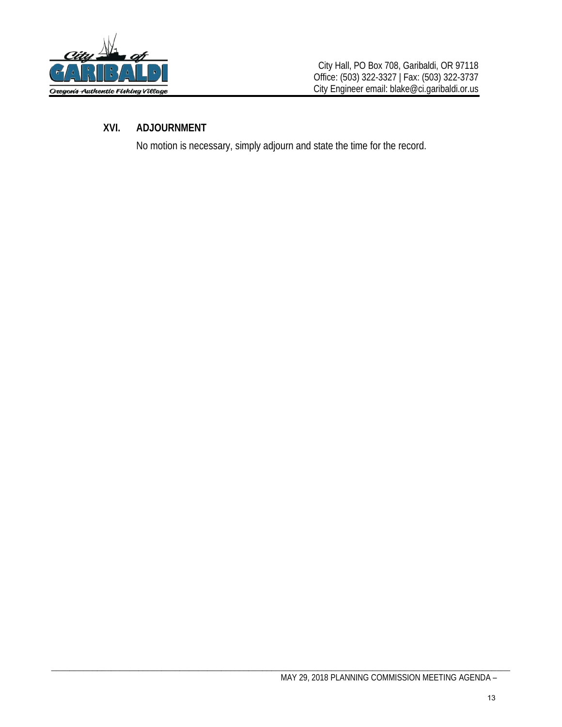

# **XVI. ADJOURNMENT**

No motion is necessary, simply adjourn and state the time for the record.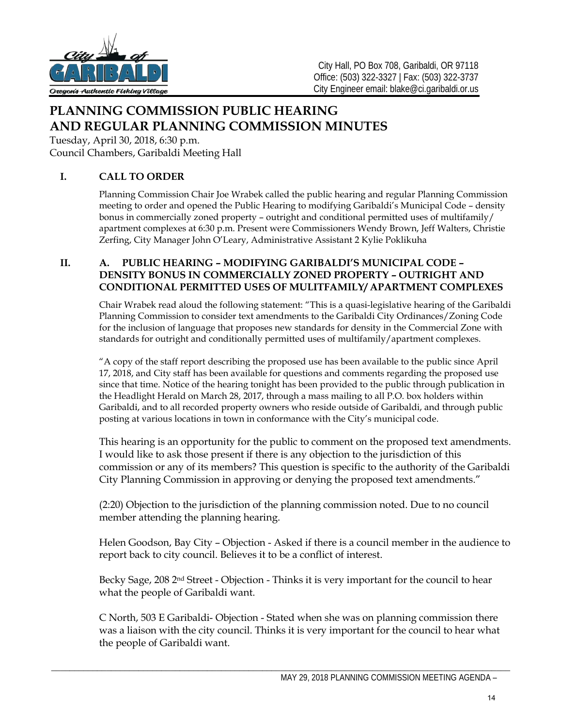

# **PLANNING COMMISSION PUBLIC HEARING AND REGULAR PLANNING COMMISSION MINUTES**

Tuesday, April 30, 2018, 6:30 p.m. Council Chambers, Garibaldi Meeting Hall

# **I. CALL TO ORDER**

Planning Commission Chair Joe Wrabek called the public hearing and regular Planning Commission meeting to order and opened the Public Hearing to modifying Garibaldi's Municipal Code – density bonus in commercially zoned property – outright and conditional permitted uses of multifamily/ apartment complexes at 6:30 p.m. Present were Commissioners Wendy Brown, Jeff Walters, Christie Zerfing, City Manager John O'Leary, Administrative Assistant 2 Kylie Poklikuha

## **II. A. PUBLIC HEARING – MODIFYING GARIBALDI'S MUNICIPAL CODE – DENSITY BONUS IN COMMERCIALLY ZONED PROPERTY – OUTRIGHT AND CONDITIONAL PERMITTED USES OF MULITFAMILY/ APARTMENT COMPLEXES**

Chair Wrabek read aloud the following statement: "This is a quasi-legislative hearing of the Garibaldi Planning Commission to consider text amendments to the Garibaldi City Ordinances/Zoning Code for the inclusion of language that proposes new standards for density in the Commercial Zone with standards for outright and conditionally permitted uses of multifamily/apartment complexes.

"A copy of the staff report describing the proposed use has been available to the public since April 17, 2018, and City staff has been available for questions and comments regarding the proposed use since that time. Notice of the hearing tonight has been provided to the public through publication in the Headlight Herald on March 28, 2017, through a mass mailing to all P.O. box holders within Garibaldi, and to all recorded property owners who reside outside of Garibaldi, and through public posting at various locations in town in conformance with the City's municipal code.

This hearing is an opportunity for the public to comment on the proposed text amendments. I would like to ask those present if there is any objection to the jurisdiction of this commission or any of its members? This question is specific to the authority of the Garibaldi City Planning Commission in approving or denying the proposed text amendments."

(2:20) Objection to the jurisdiction of the planning commission noted. Due to no council member attending the planning hearing.

Helen Goodson, Bay City – Objection - Asked if there is a council member in the audience to report back to city council. Believes it to be a conflict of interest.

Becky Sage, 208 2<sup>nd</sup> Street - Objection - Thinks it is very important for the council to hear what the people of Garibaldi want.

C North, 503 E Garibaldi- Objection - Stated when she was on planning commission there was a liaison with the city council. Thinks it is very important for the council to hear what the people of Garibaldi want.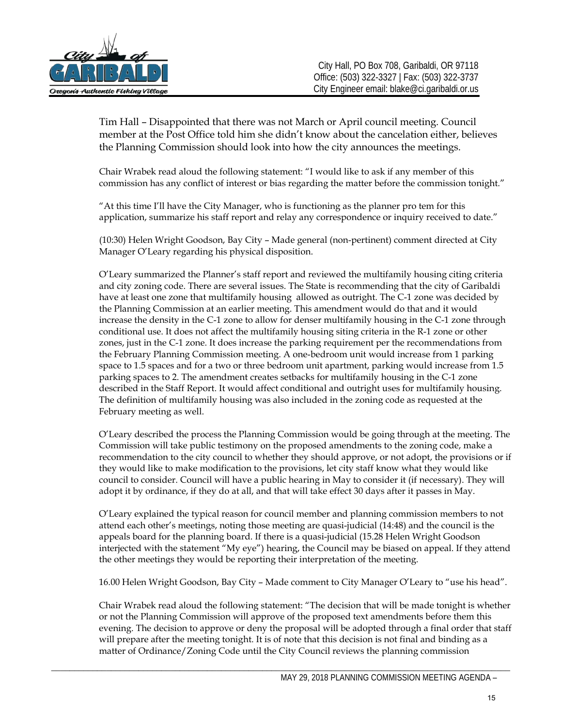

Tim Hall – Disappointed that there was not March or April council meeting. Council member at the Post Office told him she didn't know about the cancelation either, believes the Planning Commission should look into how the city announces the meetings.

Chair Wrabek read aloud the following statement: "I would like to ask if any member of this commission has any conflict of interest or bias regarding the matter before the commission tonight."

"At this time I'll have the City Manager, who is functioning as the planner pro tem for this application, summarize his staff report and relay any correspondence or inquiry received to date."

(10:30) Helen Wright Goodson, Bay City – Made general (non-pertinent) comment directed at City Manager O'Leary regarding his physical disposition.

O'Leary summarized the Planner's staff report and reviewed the multifamily housing citing criteria and city zoning code. There are several issues. The State is recommending that the city of Garibaldi have at least one zone that multifamily housing allowed as outright. The C-1 zone was decided by the Planning Commission at an earlier meeting. This amendment would do that and it would increase the density in the C-1 zone to allow for denser multifamily housing in the C-1 zone through conditional use. It does not affect the multifamily housing siting criteria in the R-1 zone or other zones, just in the C-1 zone. It does increase the parking requirement per the recommendations from the February Planning Commission meeting. A one-bedroom unit would increase from 1 parking space to 1.5 spaces and for a two or three bedroom unit apartment, parking would increase from 1.5 parking spaces to 2. The amendment creates setbacks for multifamily housing in the C-1 zone described in the Staff Report. It would affect conditional and outright uses for multifamily housing. The definition of multifamily housing was also included in the zoning code as requested at the February meeting as well.

O'Leary described the process the Planning Commission would be going through at the meeting. The Commission will take public testimony on the proposed amendments to the zoning code, make a recommendation to the city council to whether they should approve, or not adopt, the provisions or if they would like to make modification to the provisions, let city staff know what they would like council to consider. Council will have a public hearing in May to consider it (if necessary). They will adopt it by ordinance, if they do at all, and that will take effect 30 days after it passes in May.

O'Leary explained the typical reason for council member and planning commission members to not attend each other's meetings, noting those meeting are quasi-judicial (14:48) and the council is the appeals board for the planning board. If there is a quasi-judicial (15.28 Helen Wright Goodson interjected with the statement "My eye") hearing, the Council may be biased on appeal. If they attend the other meetings they would be reporting their interpretation of the meeting.

16.00 Helen Wright Goodson, Bay City – Made comment to City Manager O'Leary to "use his head".

Chair Wrabek read aloud the following statement: "The decision that will be made tonight is whether or not the Planning Commission will approve of the proposed text amendments before them this evening. The decision to approve or deny the proposal will be adopted through a final order that staff will prepare after the meeting tonight. It is of note that this decision is not final and binding as a matter of Ordinance/Zoning Code until the City Council reviews the planning commission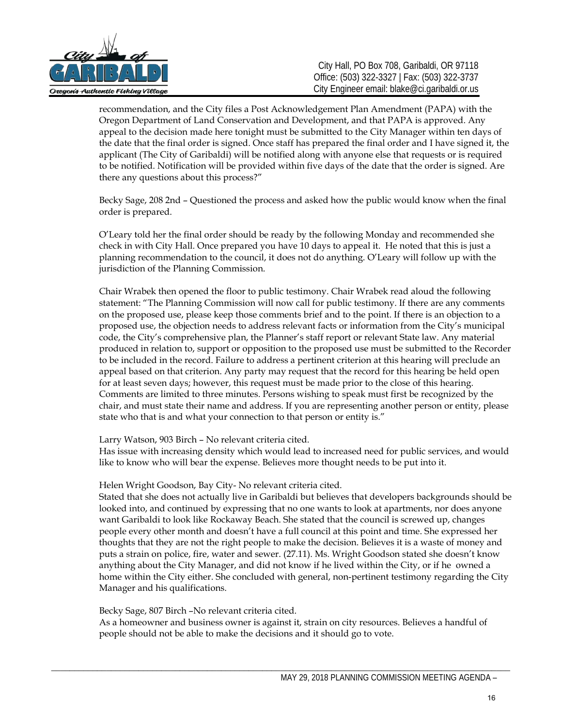

recommendation, and the City files a Post Acknowledgement Plan Amendment (PAPA) with the Oregon Department of Land Conservation and Development, and that PAPA is approved. Any appeal to the decision made here tonight must be submitted to the City Manager within ten days of the date that the final order is signed. Once staff has prepared the final order and I have signed it, the applicant (The City of Garibaldi) will be notified along with anyone else that requests or is required to be notified. Notification will be provided within five days of the date that the order is signed. Are there any questions about this process?"

Becky Sage, 208 2nd – Questioned the process and asked how the public would know when the final order is prepared.

O'Leary told her the final order should be ready by the following Monday and recommended she check in with City Hall. Once prepared you have 10 days to appeal it. He noted that this is just a planning recommendation to the council, it does not do anything. O'Leary will follow up with the jurisdiction of the Planning Commission.

Chair Wrabek then opened the floor to public testimony. Chair Wrabek read aloud the following statement: "The Planning Commission will now call for public testimony. If there are any comments on the proposed use, please keep those comments brief and to the point. If there is an objection to a proposed use, the objection needs to address relevant facts or information from the City's municipal code, the City's comprehensive plan, the Planner's staff report or relevant State law. Any material produced in relation to, support or opposition to the proposed use must be submitted to the Recorder to be included in the record. Failure to address a pertinent criterion at this hearing will preclude an appeal based on that criterion. Any party may request that the record for this hearing be held open for at least seven days; however, this request must be made prior to the close of this hearing. Comments are limited to three minutes. Persons wishing to speak must first be recognized by the chair, and must state their name and address. If you are representing another person or entity, please state who that is and what your connection to that person or entity is."

Larry Watson, 903 Birch – No relevant criteria cited.

Has issue with increasing density which would lead to increased need for public services, and would like to know who will bear the expense. Believes more thought needs to be put into it.

Helen Wright Goodson, Bay City- No relevant criteria cited.

Stated that she does not actually live in Garibaldi but believes that developers backgrounds should be looked into, and continued by expressing that no one wants to look at apartments, nor does anyone want Garibaldi to look like Rockaway Beach. She stated that the council is screwed up, changes people every other month and doesn't have a full council at this point and time. She expressed her thoughts that they are not the right people to make the decision. Believes it is a waste of money and puts a strain on police, fire, water and sewer. (27.11). Ms. Wright Goodson stated she doesn't know anything about the City Manager, and did not know if he lived within the City, or if he owned a home within the City either. She concluded with general, non-pertinent testimony regarding the City Manager and his qualifications.

Becky Sage, 807 Birch –No relevant criteria cited.

As a homeowner and business owner is against it, strain on city resources. Believes a handful of people should not be able to make the decisions and it should go to vote.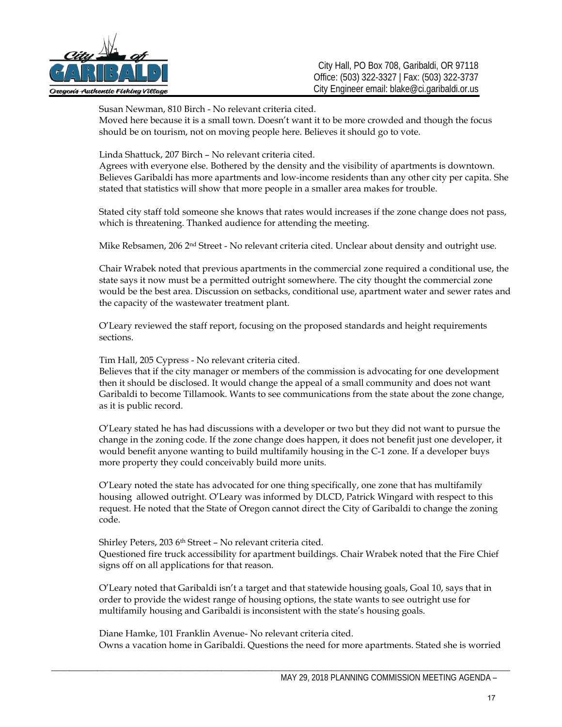

Susan Newman, 810 Birch - No relevant criteria cited.

Moved here because it is a small town. Doesn't want it to be more crowded and though the focus should be on tourism, not on moving people here. Believes it should go to vote.

Linda Shattuck, 207 Birch – No relevant criteria cited.

Agrees with everyone else. Bothered by the density and the visibility of apartments is downtown. Believes Garibaldi has more apartments and low-income residents than any other city per capita. She stated that statistics will show that more people in a smaller area makes for trouble.

Stated city staff told someone she knows that rates would increases if the zone change does not pass, which is threatening. Thanked audience for attending the meeting.

Mike Rebsamen, 206 2<sup>nd</sup> Street - No relevant criteria cited. Unclear about density and outright use.

Chair Wrabek noted that previous apartments in the commercial zone required a conditional use, the state says it now must be a permitted outright somewhere. The city thought the commercial zone would be the best area. Discussion on setbacks, conditional use, apartment water and sewer rates and the capacity of the wastewater treatment plant.

O'Leary reviewed the staff report, focusing on the proposed standards and height requirements sections.

Tim Hall, 205 Cypress - No relevant criteria cited.

Believes that if the city manager or members of the commission is advocating for one development then it should be disclosed. It would change the appeal of a small community and does not want Garibaldi to become Tillamook. Wants to see communications from the state about the zone change, as it is public record.

O'Leary stated he has had discussions with a developer or two but they did not want to pursue the change in the zoning code. If the zone change does happen, it does not benefit just one developer, it would benefit anyone wanting to build multifamily housing in the C-1 zone. If a developer buys more property they could conceivably build more units.

O'Leary noted the state has advocated for one thing specifically, one zone that has multifamily housing allowed outright. O'Leary was informed by DLCD, Patrick Wingard with respect to this request. He noted that the State of Oregon cannot direct the City of Garibaldi to change the zoning code.

Shirley Peters, 203 6th Street – No relevant criteria cited. Questioned fire truck accessibility for apartment buildings. Chair Wrabek noted that the Fire Chief signs off on all applications for that reason.

O'Leary noted that Garibaldi isn't a target and that statewide housing goals, Goal 10, says that in order to provide the widest range of housing options, the state wants to see outright use for multifamily housing and Garibaldi is inconsistent with the state's housing goals.

Diane Hamke, 101 Franklin Avenue- No relevant criteria cited. Owns a vacation home in Garibaldi. Questions the need for more apartments. Stated she is worried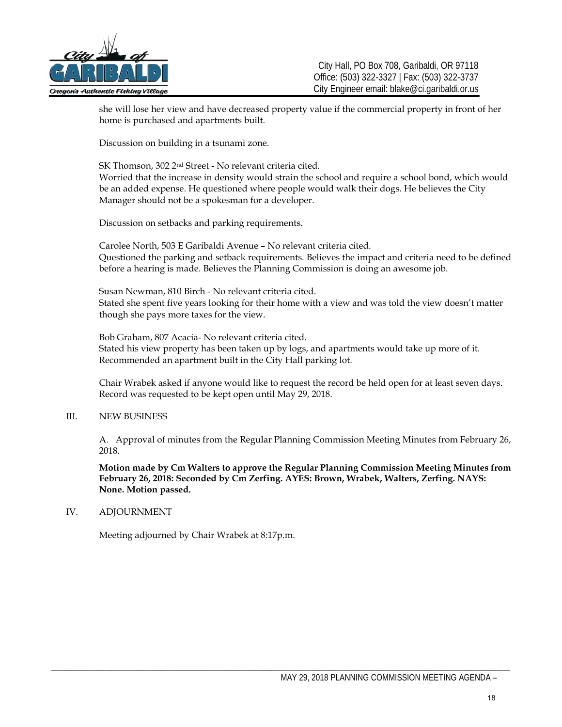

she will lose her view and have decreased property value if the commercial property in front of her home is purchased and apartments built.

Discussion on building in a tsunami zone.

SK Thomson, 302 2nd Street - No relevant criteria cited. Worried that the increase in density would strain the school and require a school bond, which would be an added expense. He questioned where people would walk their dogs. He believes the City Manager should not be a spokesman for a developer.

Discussion on setbacks and parking requirements.

Carolee North, 503 E Garibaldi Avenue – No relevant criteria cited. Questioned the parking and setback requirements. Believes the impact and criteria need to be defined before a hearing is made. Believes the Planning Commission is doing an awesome job.

Susan Newman, 810 Birch - No relevant criteria cited. Stated she spent five years looking for their home with a view and was told the view doesn't matter though she pays more taxes for the view.

Bob Graham, 807 Acacia- No relevant criteria cited. Stated his view property has been taken up by logs, and apartments would take up more of it. Recommended an apartment built in the City Hall parking lot.

Chair Wrabek asked if anyone would like to request the record be held open for at least seven days. Record was requested to be kept open until May 29, 2018.

#### III. NEW BUSINESS

A. Approval of minutes from the Regular Planning Commission Meeting Minutes from February 26, 2018.

**Motion made by Cm Walters to approve the Regular Planning Commission Meeting Minutes from February 26, 2018: Seconded by Cm Zerfing. AYES: Brown, Wrabek, Walters, Zerfing. NAYS: None. Motion passed.** 

#### IV. ADJOURNMENT

Meeting adjourned by Chair Wrabek at 8:17p.m.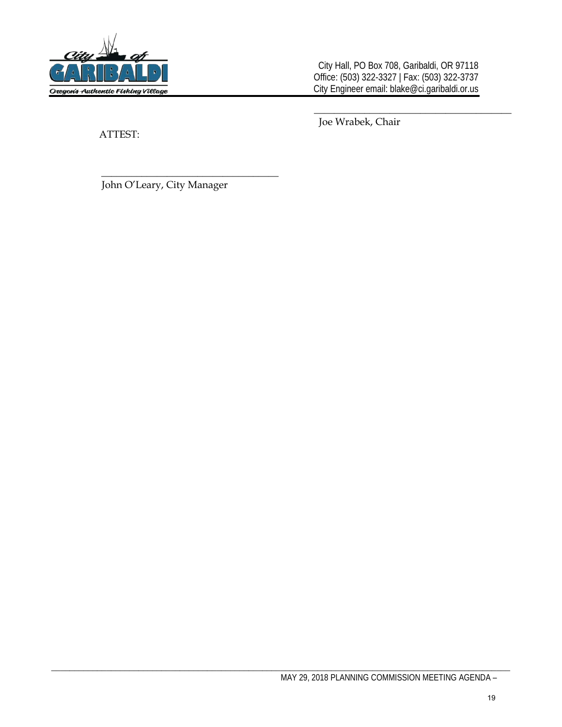

City Hall, PO Box 708, Garibaldi, OR 97118 Office: (503) 322-3327 | Fax: (503) 322-3737 City Engineer email: blake@ci.garibaldi.or.us

ATTEST:

\_\_\_\_\_\_\_\_\_\_\_\_\_\_\_\_\_\_\_\_\_\_\_\_\_\_\_\_\_\_\_\_\_\_\_\_\_\_\_ Joe Wrabek, Chair

John O'Leary, City Manager

\_\_\_\_\_\_\_\_\_\_\_\_\_\_\_\_\_\_\_\_\_\_\_\_\_\_\_\_\_\_\_\_\_\_\_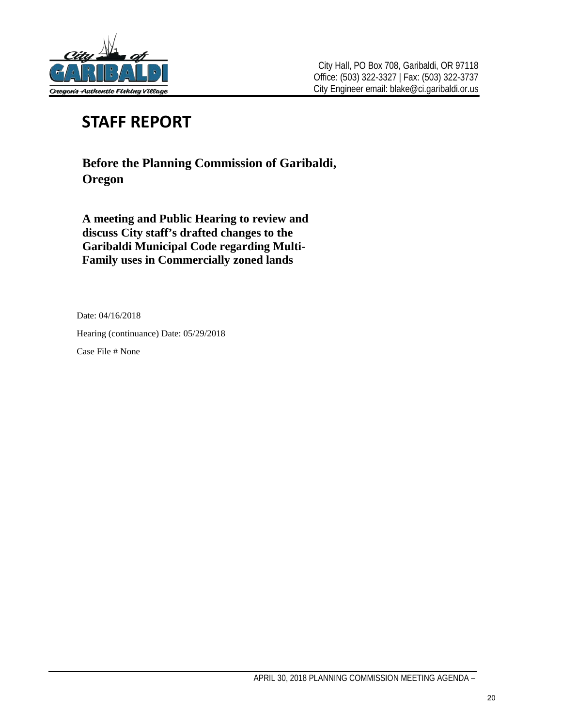

# **STAFF REPORT**

**Before the Planning Commission of Garibaldi, Oregon** 

**A meeting and Public Hearing to review and discuss City staff's drafted changes to the Garibaldi Municipal Code regarding Multi-Family uses in Commercially zoned lands**

Date: 04/16/2018

Hearing (continuance) Date: 05/29/2018

Case File # None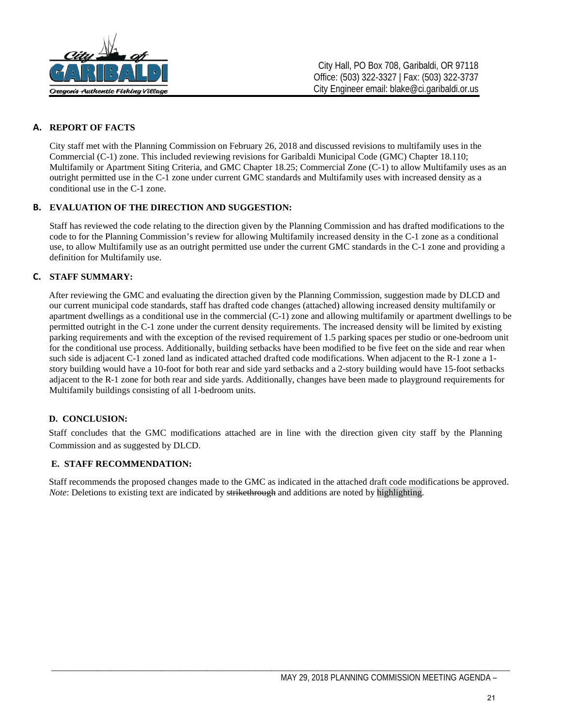

### **A. REPORT OF FACTS**

City staff met with the Planning Commission on February 26, 2018 and discussed revisions to multifamily uses in the Commercial (C-1) zone. This included reviewing revisions for Garibaldi Municipal Code (GMC) Chapter 18.110; Multifamily or Apartment Siting Criteria, and GMC Chapter 18.25; Commercial Zone (C-1) to allow Multifamily uses as an outright permitted use in the C-1 zone under current GMC standards and Multifamily uses with increased density as a conditional use in the C-1 zone.

#### **B. EVALUATION OF THE DIRECTION AND SUGGESTION:**

Staff has reviewed the code relating to the direction given by the Planning Commission and has drafted modifications to the code to for the Planning Commission's review for allowing Multifamily increased density in the C-1 zone as a conditional use, to allow Multifamily use as an outright permitted use under the current GMC standards in the C-1 zone and providing a definition for Multifamily use.

#### **C. STAFF SUMMARY:**

After reviewing the GMC and evaluating the direction given by the Planning Commission, suggestion made by DLCD and our current municipal code standards, staff has drafted code changes (attached) allowing increased density multifamily or apartment dwellings as a conditional use in the commercial (C-1) zone and allowing multifamily or apartment dwellings to be permitted outright in the C-1 zone under the current density requirements. The increased density will be limited by existing parking requirements and with the exception of the revised requirement of 1.5 parking spaces per studio or one-bedroom unit for the conditional use process. Additionally, building setbacks have been modified to be five feet on the side and rear when such side is adjacent C-1 zoned land as indicated attached drafted code modifications. When adjacent to the R-1 zone a 1 story building would have a 10-foot for both rear and side yard setbacks and a 2-story building would have 15-foot setbacks adjacent to the R-1 zone for both rear and side yards. Additionally, changes have been made to playground requirements for Multifamily buildings consisting of all 1-bedroom units.

#### **D. CONCLUSION:**

Staff concludes that the GMC modifications attached are in line with the direction given city staff by the Planning Commission and as suggested by DLCD.

#### **E. STAFF RECOMMENDATION:**

Staff recommends the proposed changes made to the GMC as indicated in the attached draft code modifications be approved. *Note*: Deletions to existing text are indicated by strikethrough and additions are noted by highlighting.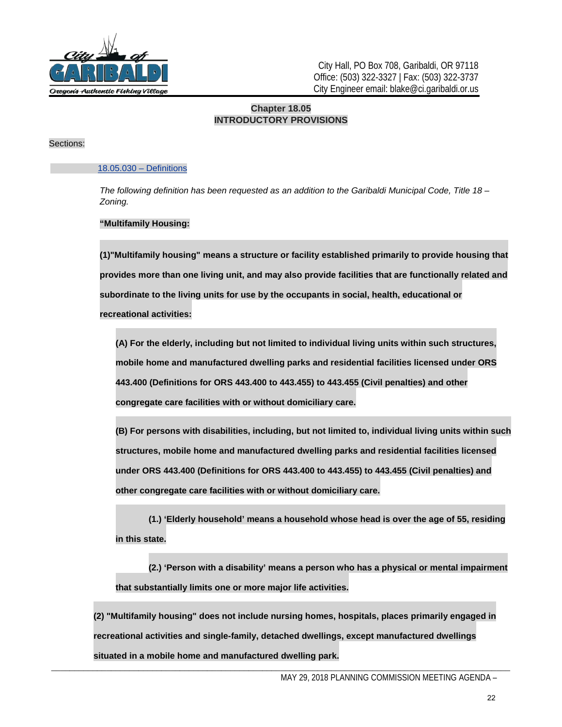

City Hall, PO Box 708, Garibaldi, OR 97118 Office: (503) 322-3327 | Fax: (503) 322-3737 City Engineer email: blake@ci.garibaldi.or.us

### **Chapter 18.05 INTRODUCTORY PROVISIONS**

#### Sections:

#### 18.05.030 – Definitions

*The following definition has been requested as an addition to the Garibaldi Municipal Code, Title 18 – Zoning.*

#### **"Multifamily Housing:**

**(1)"Multifamily housing" means a structure or facility established primarily to provide housing that provides more than one living unit, and may also provide facilities that are functionally related and subordinate to the living units for use by the occupants in social, health, educational or recreational activities:**

**(A) For the elderly, including but not limited to individual living units within such structures, mobile home and manufactured dwelling parks and residential facilities licensed under ORS [443.400 \(Definitions for ORS 443.400 to 443.455\)](https://www.oregonlaws.org/ors/443.400) t[o 443.455 \(Civil penalties\)](https://www.oregonlaws.org/ors/443.455) and other congregate care facilities with or without domiciliary care.**

**(B) For persons with disabilities, including, but not limited to, individual living units within such structures, mobile home and manufactured dwelling parks and residential facilities licensed under ORS [443.400 \(Definitions for ORS 443.400 to 443.455\)](https://www.oregonlaws.org/ors/443.400) to [443.455 \(Civil penalties\)](https://www.oregonlaws.org/ors/443.455) and other congregate care facilities with or without domiciliary care.**

**(1.) 'Elderly household' means a household whose head is over the age of 55, residing in this state.**

**(2.) 'Person with a disability' means a person who has a physical or mental impairment that substantially limits one or more major life activities.** 

**(2) "Multifamily housing" does not include nursing homes, hospitals, places primarily engaged in recreational activities and single-family, detached dwellings, except manufactured dwellings situated in a mobile home and manufactured dwelling park.**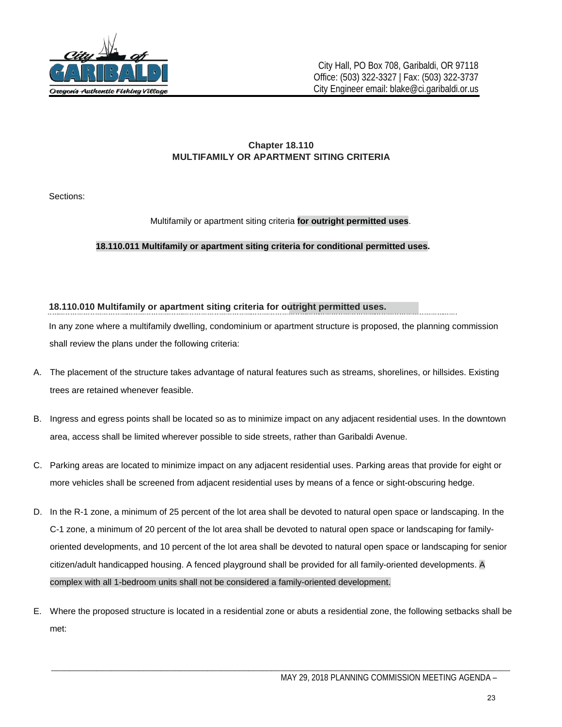

## **Chapter 18.110 MULTIFAMILY OR APARTMENT SITING CRITERIA**

Sections:

## [M](http://www.codepublishing.com/OR/Garibaldi/html/Garibaldi18/Garibaldi18110.html#18.110.010)ultifamily or apartment siting criteria **for outright permitted uses**.

#### **18.110.011 Multifamily or apartment siting criteria for conditional permitted uses.**

#### **18.110.010 Multifamily or apartment siting criteria for outright permitted uses.**

In any zone where a multifamily dwelling, condominium or apartment structure is proposed, the planning commission shall review the plans under the following criteria:

- A. The placement of the structure takes advantage of natural features such as streams, shorelines, or hillsides. Existing trees are retained whenever feasible.
- B. Ingress and egress points shall be located so as to minimize impact on any adjacent residential uses. In the downtown area, access shall be limited wherever possible to side streets, rather than Garibaldi Avenue.
- C. Parking areas are located to minimize impact on any adjacent residential uses. Parking areas that provide for eight or more vehicles shall be screened from adjacent residential uses by means of a fence or sight-obscuring hedge.
- D. In the R-1 zone, a minimum of 25 percent of the lot area shall be devoted to natural open space or landscaping. In the C-1 zone, a minimum of 20 percent of the lot area shall be devoted to natural open space or landscaping for familyoriented developments, and 10 percent of the lot area shall be devoted to natural open space or landscaping for senior citizen/adult handicapped housing. A fenced playground shall be provided for all family-oriented developments. A complex with all 1-bedroom units shall not be considered a family-oriented development.
- E. Where the proposed structure is located in a residential zone or abuts a residential zone, the following setbacks shall be met: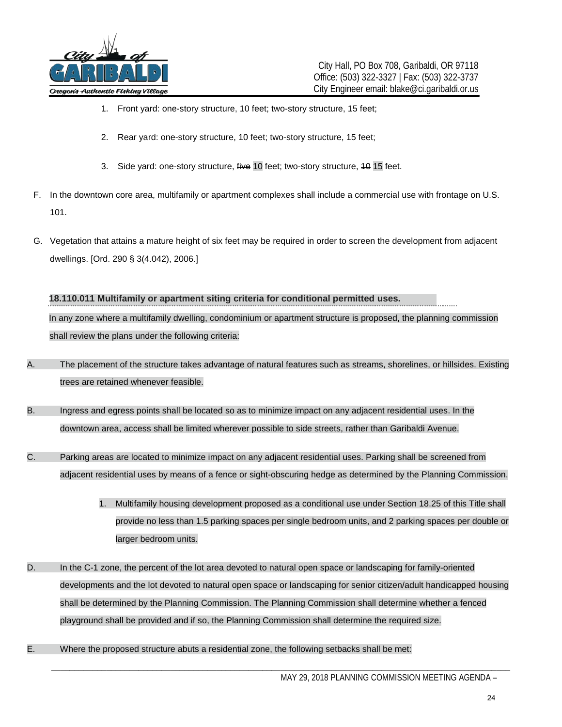

- 1. Front yard: one-story structure, 10 feet; two-story structure, 15 feet;
- 2. Rear yard: one-story structure, 10 feet; two-story structure, 15 feet;
- 3. Side yard: one-story structure, five 10 feet; two-story structure, 40 15 feet.
- F. In the downtown core area, multifamily or apartment complexes shall include a commercial use with frontage on U.S. 101.
- G. Vegetation that attains a mature height of six feet may be required in order to screen the development from adjacent dwellings. [Ord. 290 § 3(4.042), 2006.]

### **18.110.011 Multifamily or apartment siting criteria for conditional permitted uses.**

In any zone where a multifamily dwelling, condominium or apartment structure is proposed, the planning commission shall review the plans under the following criteria:

- A. The placement of the structure takes advantage of natural features such as streams, shorelines, or hillsides. Existing trees are retained whenever feasible.
- B. Ingress and egress points shall be located so as to minimize impact on any adjacent residential uses. In the downtown area, access shall be limited wherever possible to side streets, rather than Garibaldi Avenue.
- C. Parking areas are located to minimize impact on any adjacent residential uses. Parking shall be screened from adjacent residential uses by means of a fence or sight-obscuring hedge as determined by the Planning Commission.
	- 1. Multifamily housing development proposed as a conditional use under Section 18.25 of this Title shall provide no less than 1.5 parking spaces per single bedroom units, and 2 parking spaces per double or larger bedroom units.
- D. In the C-1 zone, the percent of the lot area devoted to natural open space or landscaping for family-oriented developments and the lot devoted to natural open space or landscaping for senior citizen/adult handicapped housing shall be determined by the Planning Commission. The Planning Commission shall determine whether a fenced playground shall be provided and if so, the Planning Commission shall determine the required size.

\_\_\_\_\_\_\_\_\_\_\_\_\_\_\_\_\_\_\_\_\_\_\_\_\_\_\_\_\_\_\_\_\_\_\_\_\_\_\_\_\_\_\_\_\_\_\_\_\_\_\_\_\_\_\_\_\_\_\_\_\_\_\_\_\_\_\_\_\_\_\_\_\_\_\_\_\_\_\_\_\_\_\_\_\_\_\_\_\_\_\_\_\_\_\_\_\_\_\_\_

E. Where the proposed structure abuts a residential zone, the following setbacks shall be met: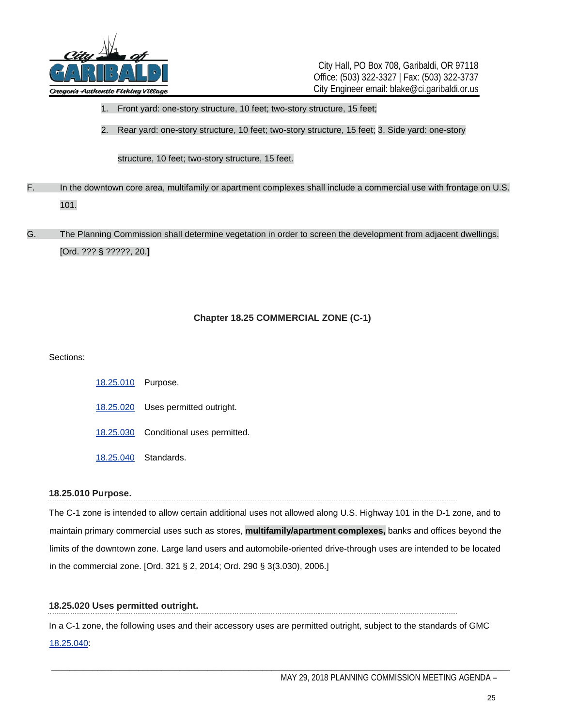

City Hall, PO Box 708, Garibaldi, OR 97118 Office: (503) 322-3327 | Fax: (503) 322-3737 City Engineer email: blake@ci.garibaldi.or.us

- 1. Front yard: one-story structure, 10 feet; two-story structure, 15 feet;
- 2. Rear yard: one-story structure, 10 feet; two-story structure, 15 feet; 3. Side yard: one-story

#### structure, 10 feet; two-story structure, 15 feet.

F. In the downtown core area, multifamily or apartment complexes shall include a commercial use with frontage on U.S. 101.

# G. The Planning Commission shall determine vegetation in order to screen the development from adjacent dwellings. [Ord. ??? § ?????, 20.]

#### **Chapter 18.25 COMMERCIAL ZONE (C-1)**

#### Sections:

[18.25.010](http://www.codepublishing.com/OR/Garibaldi/html/Garibaldi18/Garibaldi1825.html#18.25.010) Purpose. [18.25.020](http://www.codepublishing.com/OR/Garibaldi/html/Garibaldi18/Garibaldi1825.html#18.25.020) Uses permitted outright. [18.25.030](http://www.codepublishing.com/OR/Garibaldi/html/Garibaldi18/Garibaldi1825.html#18.25.030) Conditional uses permitted. [18.25.040](http://www.codepublishing.com/OR/Garibaldi/html/Garibaldi18/Garibaldi1825.html#18.25.040) Standards.

#### **18.25.010 Purpose.**

The C-1 zone is intended to allow certain additional uses not allowed along U.S. Highway 101 in the D-1 zone, and to maintain primary commercial uses such as stores, **multifamily/apartment complexes,** banks and offices beyond the limits of the downtown zone. Large land users and automobile-oriented drive-through uses are intended to be located in the commercial zone. [Ord. 321 § 2, 2014; Ord. 290 § 3(3.030), 2006.]

#### **18.25.020 Uses permitted outright.**

In a C-1 zone, the following uses and their accessory uses are permitted outright, subject to the standards of GMC 18.25.040: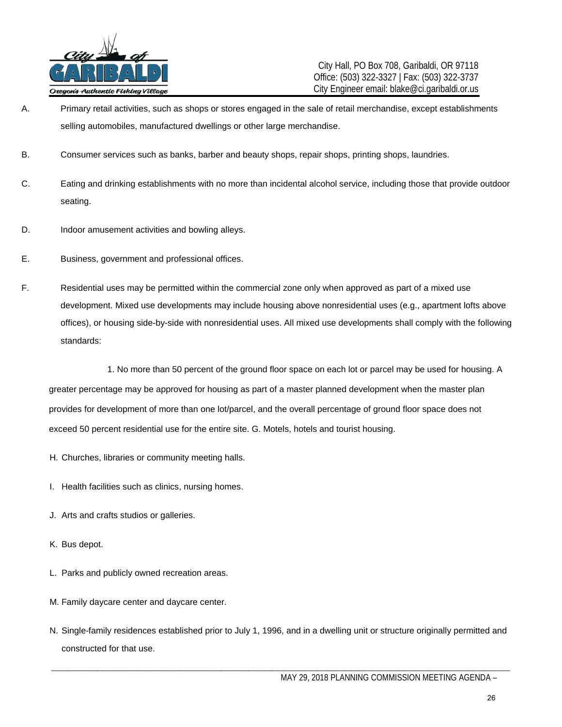

City Hall, PO Box 708, Garibaldi, OR 97118 Office: (503) 322-3327 | Fax: (503) 322-3737 City Engineer email: blake@ci.garibaldi.or.us

- A. Primary retail activities, such as shops or stores engaged in the sale of retail merchandise, except establishments selling automobiles, manufactured dwellings or other large merchandise.
- B. Consumer services such as banks, barber and beauty shops, repair shops, printing shops, laundries.
- C. Eating and drinking establishments with no more than incidental alcohol service, including those that provide outdoor seating.
- D. Indoor amusement activities and bowling alleys.
- E. Business, government and professional offices.
- F. Residential uses may be permitted within the commercial zone only when approved as part of a mixed use development. Mixed use developments may include housing above nonresidential uses (e.g., apartment lofts above offices), or housing side-by-side with nonresidential uses. All mixed use developments shall comply with the following standards:

1. No more than 50 percent of the ground floor space on each lot or parcel may be used for housing. A greater percentage may be approved for housing as part of a master planned development when the master plan provides for development of more than one lot/parcel, and the overall percentage of ground floor space does not exceed 50 percent residential use for the entire site. G. Motels, hotels and tourist housing.

- H. Churches, libraries or community meeting halls.
- I. Health facilities such as clinics, nursing homes.
- J. Arts and crafts studios or galleries.
- K. Bus depot.
- L. Parks and publicly owned recreation areas.
- M. Family daycare center and daycare center.
- N. Single-family residences established prior to July 1, 1996, and in a dwelling unit or structure originally permitted and constructed for that use.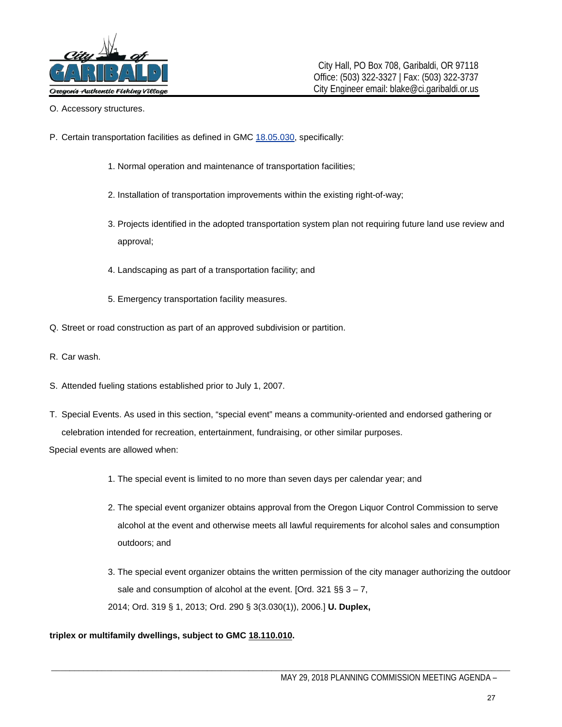

- O. Accessory structures.
- P. Certain transportation facilities as defined in GMC [18.05.030,](http://www.codepublishing.com/OR/Garibaldi/html/Garibaldi18/Garibaldi1805.html#18.05.030) specifically:
	- 1. Normal operation and maintenance of transportation facilities;
	- 2. Installation of transportation improvements within the existing right-of-way;
	- 3. Projects identified in the adopted transportation system plan not requiring future land use review and approval;
	- 4. Landscaping as part of a transportation facility; and
	- 5. Emergency transportation facility measures.
- Q. Street or road construction as part of an approved subdivision or partition.
- R. Car wash.
- S. Attended fueling stations established prior to July 1, 2007.
- T. Special Events. As used in this section, "special event" means a community-oriented and endorsed gathering or celebration intended for recreation, entertainment, fundraising, or other similar purposes.

Special events are allowed when:

- 1. The special event is limited to no more than seven days per calendar year; and
- 2. The special event organizer obtains approval from the Oregon Liquor Control Commission to serve alcohol at the event and otherwise meets all lawful requirements for alcohol sales and consumption outdoors; and
- 3. The special event organizer obtains the written permission of the city manager authorizing the outdoor sale and consumption of alcohol at the event. [Ord. 321 §§  $3 - 7$ , 2014; Ord. 319 § 1, 2013; Ord. 290 § 3(3.030(1)), 2006.] **U. Duplex,**

#### **triplex or multifamily dwellings, subject to GM[C](http://www.codepublishing.com/OR/Garibaldi/html/Garibaldi18/Garibaldi18110.html#18.110.010) [18.110.010.](http://www.codepublishing.com/OR/Garibaldi/html/Garibaldi18/Garibaldi18110.html#18.110.010)**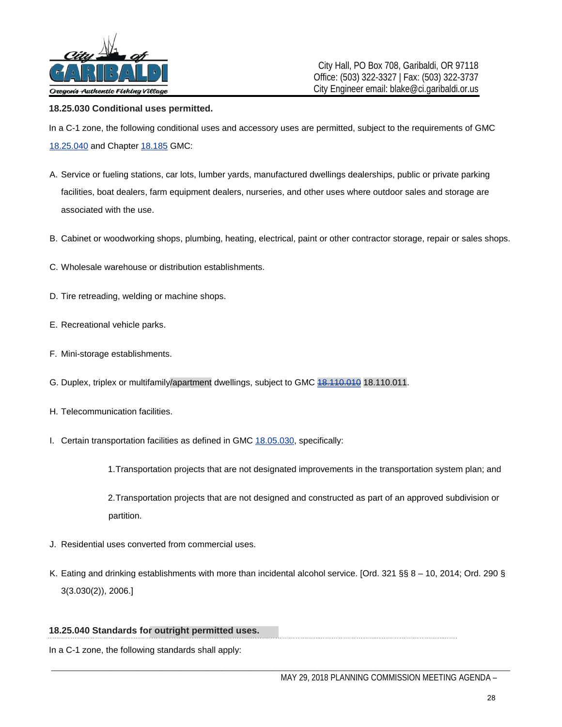

#### **18.25.030 Conditional uses permitted.**

In a C-1 zone, the following conditional uses and accessory uses are permitted, subject to the requirements of GMC [18.25.040](http://www.codepublishing.com/OR/Garibaldi/html/Garibaldi18/Garibaldi1825.html#18.25.040) [a](http://www.codepublishing.com/OR/Garibaldi/html/Garibaldi18/Garibaldi1825.html#18.25.040)nd Chapte[r 18.185](http://www.codepublishing.com/OR/Garibaldi/html/Garibaldi18/Garibaldi18185.html#18.185) [G](http://www.codepublishing.com/OR/Garibaldi/html/Garibaldi18/Garibaldi18185.html#18.185)MC:

- A. Service or fueling stations, car lots, lumber yards, manufactured dwellings dealerships, public or private parking facilities, boat dealers, farm equipment dealers, nurseries, and other uses where outdoor sales and storage are associated with the use.
- B. Cabinet or woodworking shops, plumbing, heating, electrical, paint or other contractor storage, repair or sales shops.
- C. Wholesale warehouse or distribution establishments.
- D. Tire retreading, welding or machine shops.
- E. Recreational vehicle parks.
- F. Mini-storage establishments.
- G. Duplex, triplex or multifamily/apartment dwellings, subject to GMC  $18,110,01011$ .
- H. Telecommunication facilities.
- I. Certain transportation facilities as defined in GMC [18.05.030,](http://www.codepublishing.com/OR/Garibaldi/html/Garibaldi18/Garibaldi1805.html#18.05.030) specifically:

1.Transportation projects that are not designated improvements in the transportation system plan; and

2.Transportation projects that are not designed and constructed as part of an approved subdivision or partition.

- J. Residential uses converted from commercial uses.
- K. Eating and drinking establishments with more than incidental alcohol service. [Ord. 321 §§ 8 10, 2014; Ord. 290 § 3(3.030(2)), 2006.]

#### **18.25.040 Standards for outright permitted uses.**

In a C-1 zone, the following standards shall apply: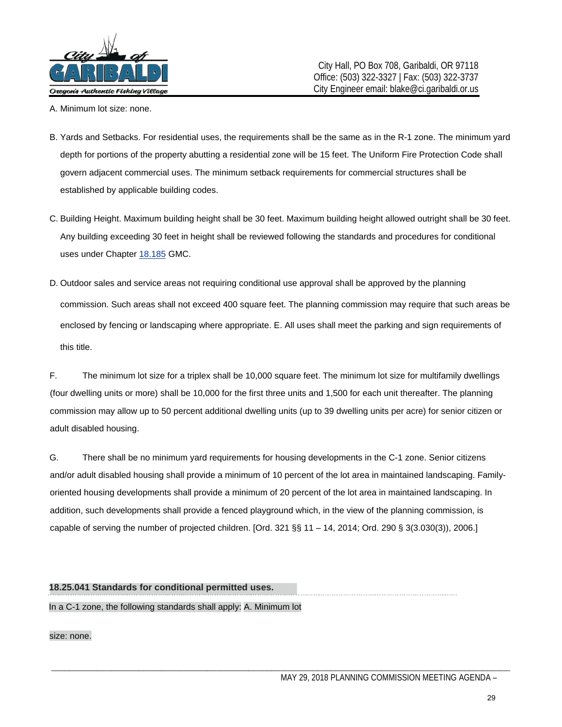

- A. Minimum lot size: none.
- B. Yards and Setbacks. For residential uses, the requirements shall be the same as in the R-1 zone. The minimum yard depth for portions of the property abutting a residential zone will be 15 feet. The Uniform Fire Protection Code shall govern adjacent commercial uses. The minimum setback requirements for commercial structures shall be established by applicable building codes.
- C. Building Height. Maximum building height shall be 30 feet. Maximum building height allowed outright shall be 30 feet. Any building exceeding 30 feet in height shall be reviewed following the standards and procedures for conditional uses under Chapte[r 18.185](http://www.codepublishing.com/OR/Garibaldi/html/Garibaldi18/Garibaldi18185.html#18.185) [G](http://www.codepublishing.com/OR/Garibaldi/html/Garibaldi18/Garibaldi18185.html#18.185)MC.
- D. Outdoor sales and service areas not requiring conditional use approval shall be approved by the planning commission. Such areas shall not exceed 400 square feet. The planning commission may require that such areas be enclosed by fencing or landscaping where appropriate. E. All uses shall meet the parking and sign requirements of this title.

F. The minimum lot size for a triplex shall be 10,000 square feet. The minimum lot size for multifamily dwellings (four dwelling units or more) shall be 10,000 for the first three units and 1,500 for each unit thereafter. The planning commission may allow up to 50 percent additional dwelling units (up to 39 dwelling units per acre) for senior citizen or adult disabled housing.

G. There shall be no minimum yard requirements for housing developments in the C-1 zone. Senior citizens and/or adult disabled housing shall provide a minimum of 10 percent of the lot area in maintained landscaping. Familyoriented housing developments shall provide a minimum of 20 percent of the lot area in maintained landscaping. In addition, such developments shall provide a fenced playground which, in the view of the planning commission, is capable of serving the number of projected children. [Ord. 321 §§ 11 – 14, 2014; Ord. 290 § 3(3.030(3)), 2006.]

\_\_\_\_\_\_\_\_\_\_\_\_\_\_\_\_\_\_\_\_\_\_\_\_\_\_\_\_\_\_\_\_\_\_\_\_\_\_\_\_\_\_\_\_\_\_\_\_\_\_\_\_\_\_\_\_\_\_\_\_\_\_\_\_\_\_\_\_\_\_\_\_\_\_\_\_\_\_\_\_\_\_\_\_\_\_\_\_\_\_\_\_\_\_\_\_\_\_\_\_

#### **18.25.041 Standards for conditional permitted uses.**

In a C-1 zone, the following standards shall apply: A. Minimum lot

size: none.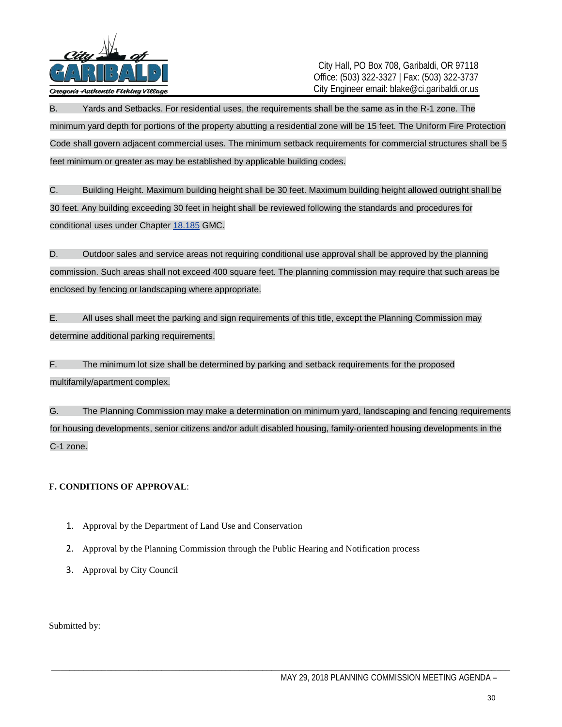

City Hall, PO Box 708, Garibaldi, OR 97118 Office: (503) 322-3327 | Fax: (503) 322-3737 City Engineer email: blake@ci.garibaldi.or.us

B. Yards and Setbacks. For residential uses, the requirements shall be the same as in the R-1 zone. The minimum yard depth for portions of the property abutting a residential zone will be 15 feet. The Uniform Fire Protection Code shall govern adjacent commercial uses. The minimum setback requirements for commercial structures shall be 5 feet minimum or greater as may be established by applicable building codes.

C. Building Height. Maximum building height shall be 30 feet. Maximum building height allowed outright shall be 30 feet. Any building exceeding 30 feet in height shall be reviewed following the standards and procedures for conditional uses under Chapte[r 18.185](http://www.codepublishing.com/OR/Garibaldi/html/Garibaldi18/Garibaldi18185.html#18.185) [G](http://www.codepublishing.com/OR/Garibaldi/html/Garibaldi18/Garibaldi18185.html#18.185)MC.

D. Outdoor sales and service areas not requiring conditional use approval shall be approved by the planning commission. Such areas shall not exceed 400 square feet. The planning commission may require that such areas be enclosed by fencing or landscaping where appropriate.

E. All uses shall meet the parking and sign requirements of this title, except the Planning Commission may determine additional parking requirements.

F. The minimum lot size shall be determined by parking and setback requirements for the proposed multifamily/apartment complex.

G. The Planning Commission may make a determination on minimum yard, landscaping and fencing requirements for housing developments, senior citizens and/or adult disabled housing, family-oriented housing developments in the C-1 zone.

\_\_\_\_\_\_\_\_\_\_\_\_\_\_\_\_\_\_\_\_\_\_\_\_\_\_\_\_\_\_\_\_\_\_\_\_\_\_\_\_\_\_\_\_\_\_\_\_\_\_\_\_\_\_\_\_\_\_\_\_\_\_\_\_\_\_\_\_\_\_\_\_\_\_\_\_\_\_\_\_\_\_\_\_\_\_\_\_\_\_\_\_\_\_\_\_\_\_\_\_

## **F. CONDITIONS OF APPROVAL**:

- 1. Approval by the Department of Land Use and Conservation
- 2. Approval by the Planning Commission through the Public Hearing and Notification process
- 3. Approval by City Council

Submitted by: